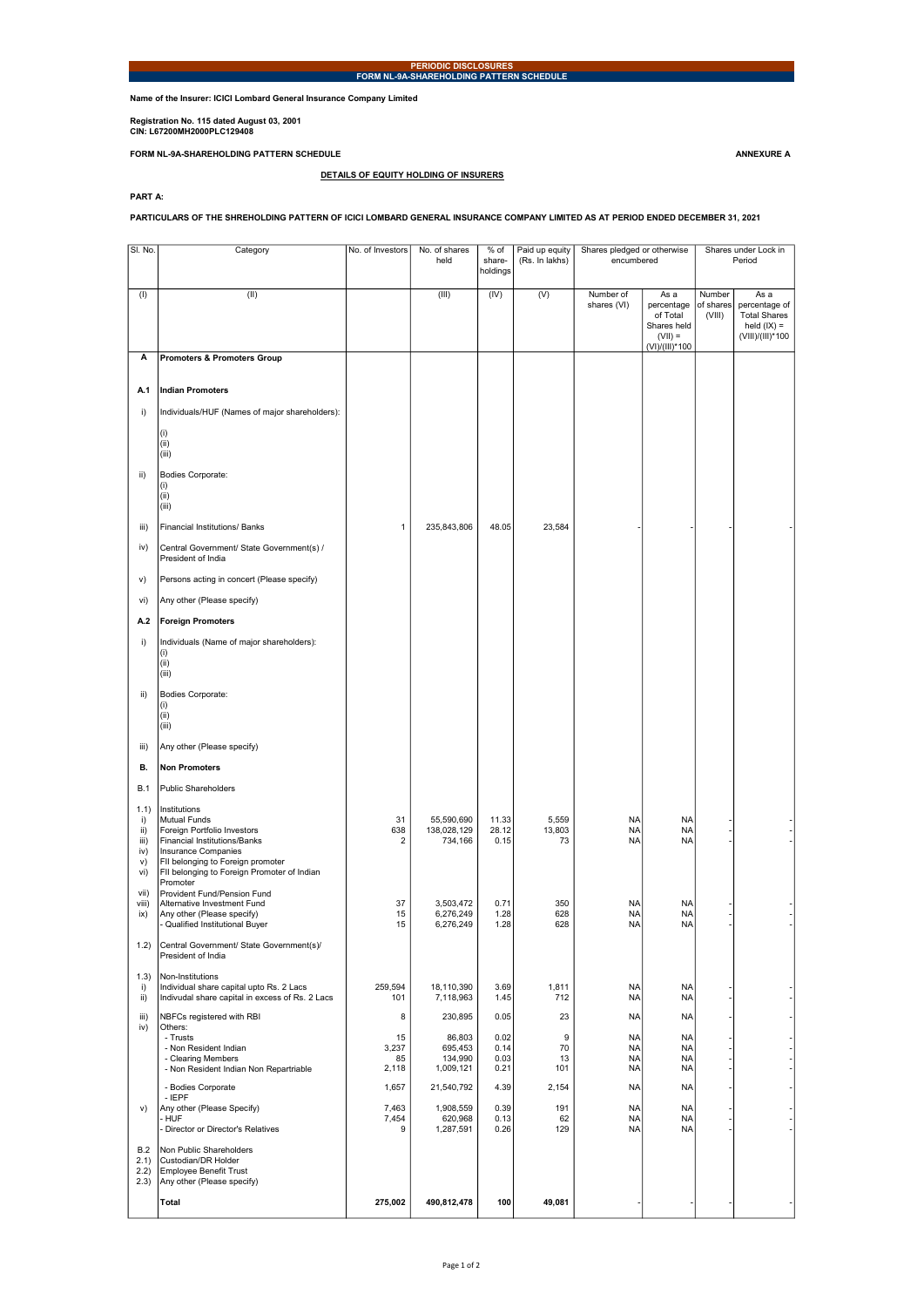Name of the Insurer: ICICI Lombard General Insurance Company Limited

Registration No. 115 dated August 03, 2001 CIN: L67200MH2000PLC129408

FORM NL-9A-SHAREHOLDING PATTERN SCHEDULE ANNEXURE A

PART A:

PARTICULARS OF THE SHREHOLDING PATTERN OF ICICI LOMBARD GENERAL INSURANCE COMPANY LIMITED AS AT PERIOD ENDED DECEMBER 31, 2021

DETAILS OF EQUITY HOLDING OF INSURERS

| SI. No.       | Category                                                           | No. of Investors | No. of shares<br>held  | % of<br>share-<br>holdings | Paid up equity<br>(Rs. In lakhs) | Shares pledged or otherwise<br>encumbered |                                                                              | Shares under Lock in<br>Period |                                                                                   |
|---------------|--------------------------------------------------------------------|------------------|------------------------|----------------------------|----------------------------------|-------------------------------------------|------------------------------------------------------------------------------|--------------------------------|-----------------------------------------------------------------------------------|
| (1)           | (II)                                                               |                  | (III)                  | (IV)                       | (V)                              | Number of<br>shares (VI)                  | As a<br>percentage<br>of Total<br>Shares held<br>$(VII) =$<br>(VI)/(III)*100 | Number<br>of shares<br>(VIII)  | As a<br>percentage of<br><b>Total Shares</b><br>held $(IX) =$<br>(VIII)/(III)*100 |
| А             | <b>Promoters &amp; Promoters Group</b>                             |                  |                        |                            |                                  |                                           |                                                                              |                                |                                                                                   |
| A.1           | <b>Indian Promoters</b>                                            |                  |                        |                            |                                  |                                           |                                                                              |                                |                                                                                   |
| i)            | Individuals/HUF (Names of major shareholders):                     |                  |                        |                            |                                  |                                           |                                                                              |                                |                                                                                   |
|               | (i)<br>(ii)<br>(iii)                                               |                  |                        |                            |                                  |                                           |                                                                              |                                |                                                                                   |
| ii)           | Bodies Corporate:<br>(i)<br>(ii)<br>(iii)                          |                  |                        |                            |                                  |                                           |                                                                              |                                |                                                                                   |
| iii)          | Financial Institutions/ Banks                                      | 1                | 235,843,806            | 48.05                      | 23,584                           |                                           |                                                                              |                                |                                                                                   |
| iv)           | Central Government/ State Government(s) /<br>President of India    |                  |                        |                            |                                  |                                           |                                                                              |                                |                                                                                   |
| V)            | Persons acting in concert (Please specify)                         |                  |                        |                            |                                  |                                           |                                                                              |                                |                                                                                   |
| vi)           | Any other (Please specify)                                         |                  |                        |                            |                                  |                                           |                                                                              |                                |                                                                                   |
| A.2           | <b>Foreign Promoters</b>                                           |                  |                        |                            |                                  |                                           |                                                                              |                                |                                                                                   |
| i)            | Individuals (Name of major shareholders):<br>(i)<br>(ii)<br>(iii)  |                  |                        |                            |                                  |                                           |                                                                              |                                |                                                                                   |
| ii)           | Bodies Corporate:<br>(i)                                           |                  |                        |                            |                                  |                                           |                                                                              |                                |                                                                                   |
|               | (ii)<br>(iii)                                                      |                  |                        |                            |                                  |                                           |                                                                              |                                |                                                                                   |
| iii)          | Any other (Please specify)                                         |                  |                        |                            |                                  |                                           |                                                                              |                                |                                                                                   |
| В.            | <b>Non Promoters</b>                                               |                  |                        |                            |                                  |                                           |                                                                              |                                |                                                                                   |
| <b>B.1</b>    | <b>Public Shareholders</b>                                         |                  |                        |                            |                                  |                                           |                                                                              |                                |                                                                                   |
| 1.1)<br>i)    | Institutions<br>Mutual Funds                                       | 31               | 55,590,690             | 11.33                      | 5,559                            | <b>NA</b>                                 | <b>NA</b>                                                                    |                                |                                                                                   |
| ii)<br>iii)   | Foreign Portfolio Investors<br><b>Financial Institutions/Banks</b> | 638<br>2         | 138,028,129<br>734,166 | 28.12<br>0.15              | 13,803<br>73                     | <b>NA</b><br><b>NA</b>                    | <b>NA</b><br><b>NA</b>                                                       |                                |                                                                                   |
| iv)<br>v)     | <b>Insurance Companies</b><br>FII belonging to Foreign promoter    |                  |                        |                            |                                  |                                           |                                                                              |                                |                                                                                   |
| vi)           | FII belonging to Foreign Promoter of Indian<br>Promoter            |                  |                        |                            |                                  |                                           |                                                                              |                                |                                                                                   |
| vii)<br>viii) | Provident Fund/Pension Fund<br>Alternative Investment Fund         | 37               | 3,503,472              | 0.71                       | 350                              | <b>NA</b>                                 | <b>NA</b>                                                                    |                                |                                                                                   |
| ix)           | Any other (Please specify)<br>- Qualified Institutional Buyer      | 15<br>15         | 6,276,249<br>6,276,249 | 1.28<br>1.28               | 628<br>628                       | <b>NA</b><br><b>NA</b>                    | <b>NA</b><br><b>NA</b>                                                       |                                |                                                                                   |
| 1.2)          | Central Government/ State Government(s)/<br>President of India     |                  |                        |                            |                                  |                                           |                                                                              |                                |                                                                                   |
| (1.3)<br>i)   | Non-Institutions<br>Individual share capital upto Rs. 2 Lacs       | 259,594          | 18,110,390             | 3.69                       | 1,811                            | <b>NA</b>                                 | <b>NA</b>                                                                    |                                |                                                                                   |
| ii)           | Indivudal share capital in excess of Rs. 2 Lacs                    | 101              | 7,118,963              | 1.45                       | 712                              | <b>NA</b>                                 | <b>NA</b>                                                                    |                                |                                                                                   |
| iii)<br>iv)   | NBFCs registered with RBI<br>Others:<br>- Trusts                   | 8<br>15          | 230,895<br>86,803      | 0.05<br>0.02               | 23<br>9                          | <b>NA</b><br><b>NA</b>                    | <b>NA</b><br><b>NA</b>                                                       |                                |                                                                                   |
|               | - Non Resident Indian<br>- Clearing Members                        | 3,237<br>85      | 695,453<br>134,990     | 0.14<br>0.03               | 70<br>13                         | <b>NA</b><br><b>NA</b>                    | <b>NA</b><br><b>NA</b>                                                       |                                |                                                                                   |
|               | - Non Resident Indian Non Repartriable                             | 2,118            | 1,009,121              | 0.21                       | 101                              | <b>NA</b>                                 | <b>NA</b>                                                                    |                                |                                                                                   |
|               | - Bodies Corporate<br>$-$ IEPF                                     | 1,657            | 21,540,792             | 4.39                       | 2,154                            | <b>NA</b>                                 | <b>NA</b>                                                                    |                                |                                                                                   |
| V)            | Any other (Please Specify)<br>- HUF                                | 7,463<br>7,454   | 1,908,559<br>620,968   | 0.39<br>0.13               | 191<br>62                        | <b>NA</b><br><b>NA</b>                    | <b>NA</b><br><b>NA</b>                                                       |                                |                                                                                   |
| B.2           | Director or Director's Relatives<br>Non Public Shareholders        | 9                | 1,287,591              | 0.26                       | 129                              | <b>NA</b>                                 | <b>NA</b>                                                                    |                                |                                                                                   |
| 2.1)<br>2.2)  | Custodian/DR Holder<br>Employee Benefit Trust                      |                  |                        |                            |                                  |                                           |                                                                              |                                |                                                                                   |
| 2.3)          | Any other (Please specify)                                         |                  |                        |                            |                                  |                                           |                                                                              |                                |                                                                                   |
|               | Total                                                              | 275,002          | 490,812,478            | 100                        | 49,081                           |                                           |                                                                              |                                |                                                                                   |